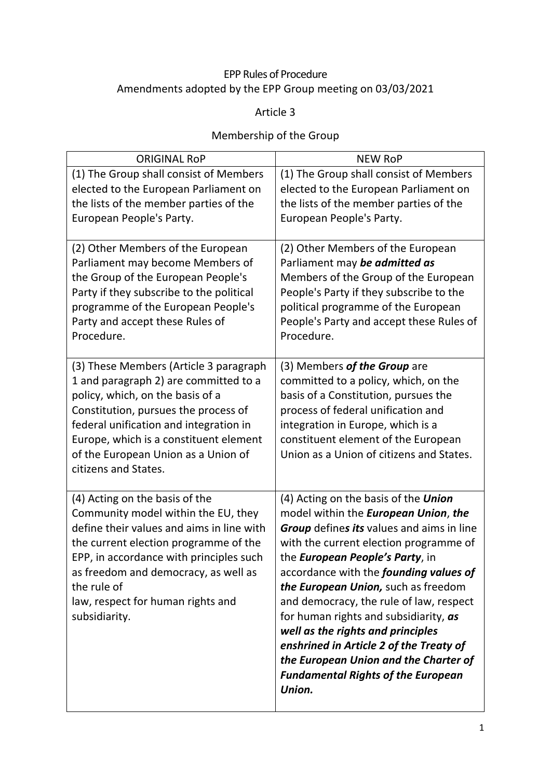# EPP Rules of Procedure Amendments adopted by the EPP Group meeting on 03/03/2021

Article 3

# Membership of the Group

| <b>ORIGINAL RoP</b>                                                                                                                                                                                                                                                                                                 | <b>NEW RoP</b>                                                                                                                                                                                                                                                                                                                                                                                                                                                                                                                                                                           |  |
|---------------------------------------------------------------------------------------------------------------------------------------------------------------------------------------------------------------------------------------------------------------------------------------------------------------------|------------------------------------------------------------------------------------------------------------------------------------------------------------------------------------------------------------------------------------------------------------------------------------------------------------------------------------------------------------------------------------------------------------------------------------------------------------------------------------------------------------------------------------------------------------------------------------------|--|
| (1) The Group shall consist of Members<br>elected to the European Parliament on<br>the lists of the member parties of the<br>European People's Party.                                                                                                                                                               | (1) The Group shall consist of Members<br>elected to the European Parliament on<br>the lists of the member parties of the<br>European People's Party.                                                                                                                                                                                                                                                                                                                                                                                                                                    |  |
| (2) Other Members of the European<br>Parliament may become Members of<br>the Group of the European People's<br>Party if they subscribe to the political<br>programme of the European People's<br>Party and accept these Rules of<br>Procedure.                                                                      | (2) Other Members of the European<br>Parliament may be admitted as<br>Members of the Group of the European<br>People's Party if they subscribe to the<br>political programme of the European<br>People's Party and accept these Rules of<br>Procedure.                                                                                                                                                                                                                                                                                                                                   |  |
| (3) These Members (Article 3 paragraph<br>1 and paragraph 2) are committed to a<br>policy, which, on the basis of a<br>Constitution, pursues the process of<br>federal unification and integration in<br>Europe, which is a constituent element<br>of the European Union as a Union of<br>citizens and States.      | (3) Members of the Group are<br>committed to a policy, which, on the<br>basis of a Constitution, pursues the<br>process of federal unification and<br>integration in Europe, which is a<br>constituent element of the European<br>Union as a Union of citizens and States.                                                                                                                                                                                                                                                                                                               |  |
| (4) Acting on the basis of the<br>Community model within the EU, they<br>define their values and aims in line with<br>the current election programme of the<br>EPP, in accordance with principles such<br>as freedom and democracy, as well as<br>the rule of<br>law, respect for human rights and<br>subsidiarity. | (4) Acting on the basis of the <i>Union</i><br>model within the <b>European Union</b> , the<br><b>Group</b> defines its values and aims in line<br>with the current election programme of<br>the European People's Party, in<br>accordance with the <b>founding values of</b><br>the European Union, such as freedom<br>and democracy, the rule of law, respect<br>for human rights and subsidiarity, as<br>well as the rights and principles<br>enshrined in Article 2 of the Treaty of<br>the European Union and the Charter of<br><b>Fundamental Rights of the European</b><br>Union. |  |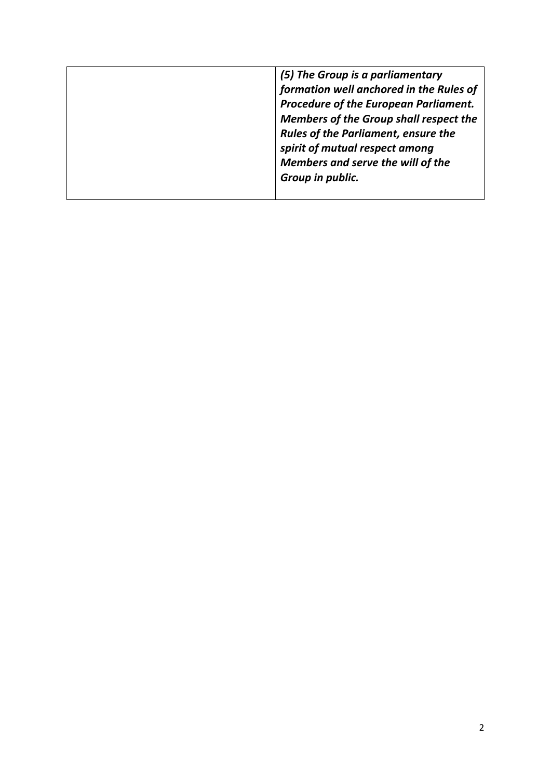| (5) The Group is a parliamentary           |
|--------------------------------------------|
| formation well anchored in the Rules of    |
| Procedure of the European Parliament.      |
| Members of the Group shall respect the     |
| <b>Rules of the Parliament, ensure the</b> |
| spirit of mutual respect among             |
| Members and serve the will of the          |
| Group in public.                           |
|                                            |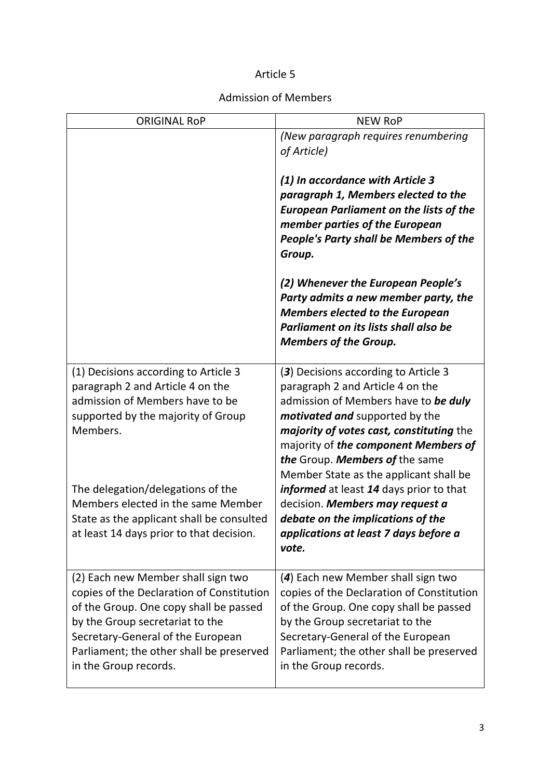## Admission of Members

| <b>ORIGINAL RoP</b>                                                                                                                                                                                                                                                                                                               | <b>NEW RoP</b>                                                                                                                                                                                                                                                                                                                                                                                                                                                                                 |  |
|-----------------------------------------------------------------------------------------------------------------------------------------------------------------------------------------------------------------------------------------------------------------------------------------------------------------------------------|------------------------------------------------------------------------------------------------------------------------------------------------------------------------------------------------------------------------------------------------------------------------------------------------------------------------------------------------------------------------------------------------------------------------------------------------------------------------------------------------|--|
|                                                                                                                                                                                                                                                                                                                                   | (New paragraph requires renumbering<br>of Article)                                                                                                                                                                                                                                                                                                                                                                                                                                             |  |
|                                                                                                                                                                                                                                                                                                                                   | (1) In accordance with Article 3<br>paragraph 1, Members elected to the<br><b>European Parliament on the lists of the</b><br>member parties of the European<br>People's Party shall be Members of the<br>Group.                                                                                                                                                                                                                                                                                |  |
|                                                                                                                                                                                                                                                                                                                                   | (2) Whenever the European People's<br>Party admits a new member party, the<br><b>Members elected to the European</b><br>Parliament on its lists shall also be<br><b>Members of the Group.</b>                                                                                                                                                                                                                                                                                                  |  |
| (1) Decisions according to Article 3<br>paragraph 2 and Article 4 on the<br>admission of Members have to be<br>supported by the majority of Group<br>Members.<br>The delegation/delegations of the<br>Members elected in the same Member<br>State as the applicant shall be consulted<br>at least 14 days prior to that decision. | (3) Decisions according to Article 3<br>paragraph 2 and Article 4 on the<br>admission of Members have to be duly<br><i>motivated and supported by the</i><br>majority of votes cast, constituting the<br>majority of the component Members of<br>the Group. Members of the same<br>Member State as the applicant shall be<br>informed at least 14 days prior to that<br>decision. Members may request a<br>debate on the implications of the<br>applications at least 7 days before a<br>vote. |  |
| (2) Each new Member shall sign two<br>copies of the Declaration of Constitution<br>of the Group. One copy shall be passed<br>by the Group secretariat to the<br>Secretary-General of the European<br>Parliament; the other shall be preserved<br>in the Group records.                                                            | (4) Each new Member shall sign two<br>copies of the Declaration of Constitution<br>of the Group. One copy shall be passed<br>by the Group secretariat to the<br>Secretary-General of the European<br>Parliament; the other shall be preserved<br>in the Group records.                                                                                                                                                                                                                         |  |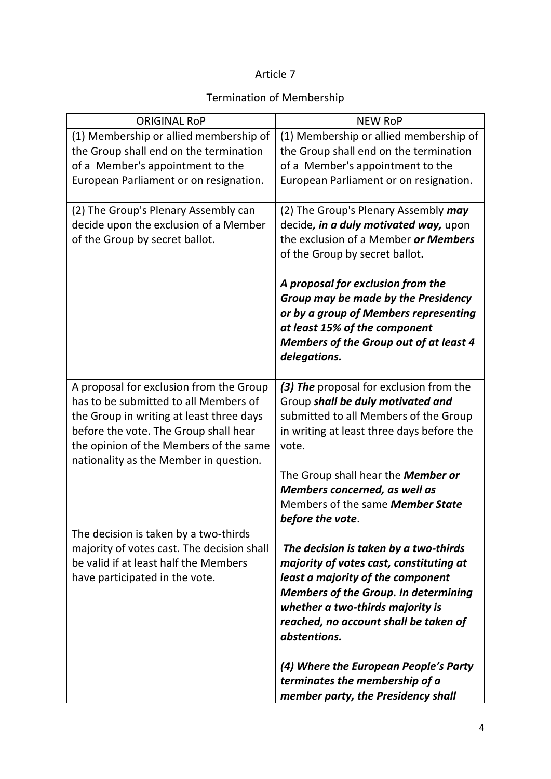## Termination of Membership

| <b>ORIGINAL ROP</b>                        | <b>NEW RoP</b>                                |  |
|--------------------------------------------|-----------------------------------------------|--|
| (1) Membership or allied membership of     | (1) Membership or allied membership of        |  |
| the Group shall end on the termination     | the Group shall end on the termination        |  |
| of a Member's appointment to the           | of a Member's appointment to the              |  |
| European Parliament or on resignation.     | European Parliament or on resignation.        |  |
|                                            |                                               |  |
| (2) The Group's Plenary Assembly can       | (2) The Group's Plenary Assembly may          |  |
| decide upon the exclusion of a Member      | decide, in a duly motivated way, upon         |  |
| of the Group by secret ballot.             | the exclusion of a Member or Members          |  |
|                                            | of the Group by secret ballot.                |  |
|                                            | A proposal for exclusion from the             |  |
|                                            | Group may be made by the Presidency           |  |
|                                            | or by a group of Members representing         |  |
|                                            | at least 15% of the component                 |  |
|                                            | <b>Members of the Group out of at least 4</b> |  |
|                                            | delegations.                                  |  |
| A proposal for exclusion from the Group    | (3) The proposal for exclusion from the       |  |
| has to be submitted to all Members of      | Group shall be duly motivated and             |  |
| the Group in writing at least three days   | submitted to all Members of the Group         |  |
| before the vote. The Group shall hear      | in writing at least three days before the     |  |
| the opinion of the Members of the same     | vote.                                         |  |
| nationality as the Member in question.     |                                               |  |
|                                            | The Group shall hear the <b>Member or</b>     |  |
|                                            | Members concerned, as well as                 |  |
|                                            | Members of the same Member State              |  |
|                                            | before the vote.                              |  |
| The decision is taken by a two-thirds      |                                               |  |
| majority of votes cast. The decision shall | The decision is taken by a two-thirds         |  |
| be valid if at least half the Members      | majority of votes cast, constituting at       |  |
| have participated in the vote.             | least a majority of the component             |  |
|                                            | <b>Members of the Group. In determining</b>   |  |
|                                            | whether a two-thirds majority is              |  |
|                                            | reached, no account shall be taken of         |  |
|                                            | abstentions.                                  |  |
|                                            | (4) Where the European People's Party         |  |
|                                            | terminates the membership of a                |  |
|                                            | member party, the Presidency shall            |  |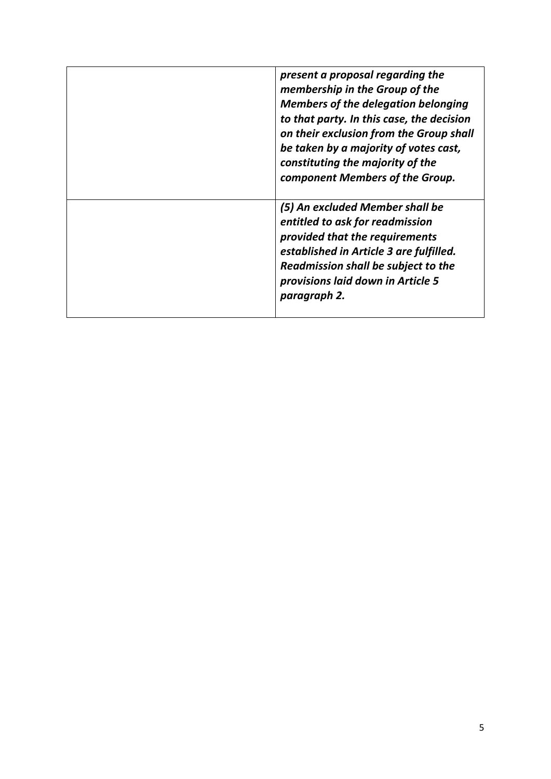| present a proposal regarding the<br>membership in the Group of the<br><b>Members of the delegation belonging</b><br>to that party. In this case, the decision<br>on their exclusion from the Group shall<br>be taken by a majority of votes cast,<br>constituting the majority of the<br>component Members of the Group. |
|--------------------------------------------------------------------------------------------------------------------------------------------------------------------------------------------------------------------------------------------------------------------------------------------------------------------------|
| (5) An excluded Member shall be<br>entitled to ask for readmission<br>provided that the requirements<br>established in Article 3 are fulfilled.<br>Readmission shall be subject to the<br>provisions laid down in Article 5<br>paragraph 2.                                                                              |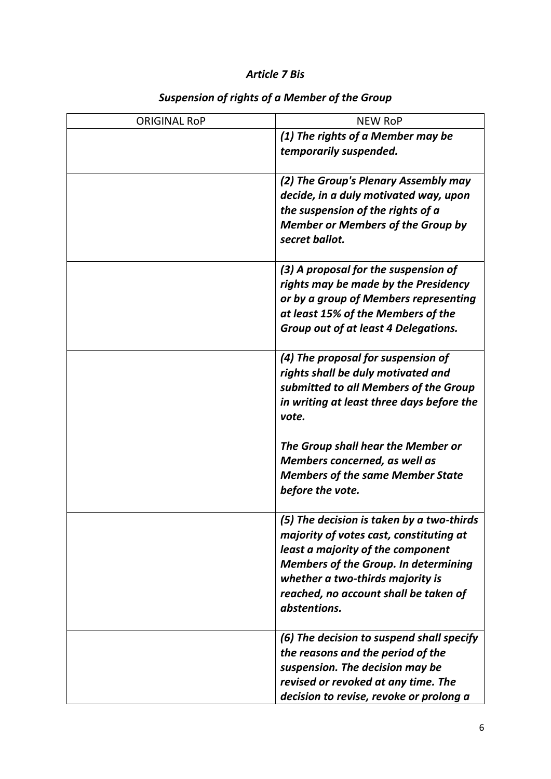## *Article 7 Bis*

| <b>ORIGINAL RoP</b> | <b>NEW RoP</b>                                                                                                                                                                                                                                                        |
|---------------------|-----------------------------------------------------------------------------------------------------------------------------------------------------------------------------------------------------------------------------------------------------------------------|
|                     | (1) The rights of a Member may be<br>temporarily suspended.                                                                                                                                                                                                           |
|                     | (2) The Group's Plenary Assembly may<br>decide, in a duly motivated way, upon<br>the suspension of the rights of a<br><b>Member or Members of the Group by</b><br>secret ballot.                                                                                      |
|                     | (3) A proposal for the suspension of<br>rights may be made by the Presidency<br>or by a group of Members representing<br>at least 15% of the Members of the<br>Group out of at least 4 Delegations.                                                                   |
|                     | (4) The proposal for suspension of<br>rights shall be duly motivated and<br>submitted to all Members of the Group<br>in writing at least three days before the<br>vote.                                                                                               |
|                     | The Group shall hear the Member or<br>Members concerned, as well as<br><b>Members of the same Member State</b><br>before the vote.                                                                                                                                    |
|                     | (5) The decision is taken by a two-thirds<br>majority of votes cast, constituting at<br>least a majority of the component<br><b>Members of the Group. In determining</b><br>whether a two-thirds majority is<br>reached, no account shall be taken of<br>abstentions. |
|                     | (6) The decision to suspend shall specify<br>the reasons and the period of the<br>suspension. The decision may be<br>revised or revoked at any time. The<br>decision to revise, revoke or prolong a                                                                   |

# *Suspension of rights of a Member of the Group*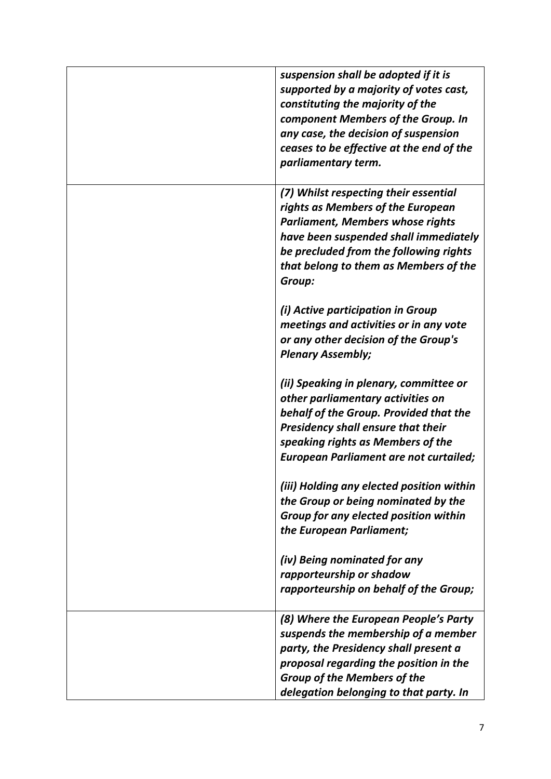| suspension shall be adopted if it is<br>supported by a majority of votes cast,<br>constituting the majority of the<br>component Members of the Group. In<br>any case, the decision of suspension<br>ceases to be effective at the end of the<br>parliamentary term. |
|---------------------------------------------------------------------------------------------------------------------------------------------------------------------------------------------------------------------------------------------------------------------|
| (7) Whilst respecting their essential<br>rights as Members of the European<br><b>Parliament, Members whose rights</b><br>have been suspended shall immediately<br>be precluded from the following rights<br>that belong to them as Members of the<br>Group:         |
| (i) Active participation in Group<br>meetings and activities or in any vote<br>or any other decision of the Group's<br><b>Plenary Assembly;</b>                                                                                                                     |
| (ii) Speaking in plenary, committee or<br>other parliamentary activities on<br>behalf of the Group. Provided that the<br><b>Presidency shall ensure that their</b><br>speaking rights as Members of the<br><b>European Parliament are not curtailed;</b>            |
| (iii) Holding any elected position within<br>the Group or being nominated by the<br>Group for any elected position within<br>the European Parliament;                                                                                                               |
| (iv) Being nominated for any<br>rapporteurship or shadow<br>rapporteurship on behalf of the Group;                                                                                                                                                                  |
| (8) Where the European People's Party<br>suspends the membership of a member<br>party, the Presidency shall present a<br>proposal regarding the position in the<br><b>Group of the Members of the</b><br>delegation belonging to that party. In                     |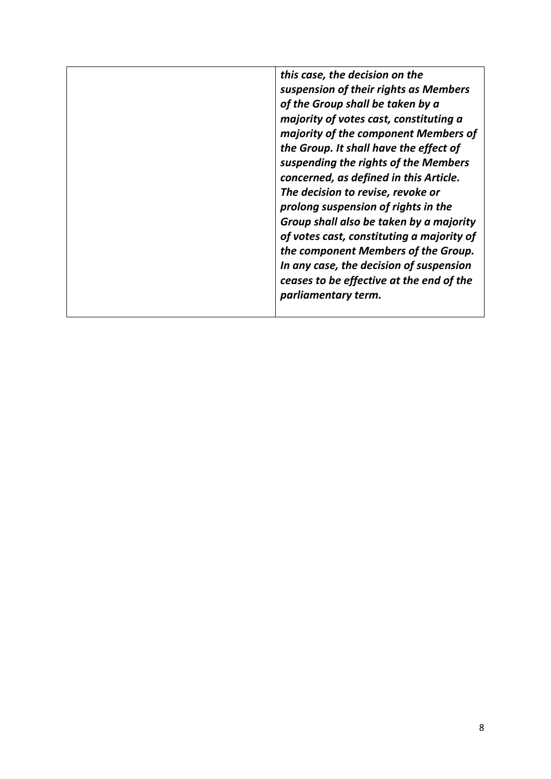*this case, the decision on the suspension of their rights as Members of the Group shall be taken by a majority of votes cast, constituting a majority of the component Members of the Group. It shall have the effect of suspending the rights of the Members concerned, as defined in this Article. The decision to revise, revoke or prolong suspension of rights in the Group shall also be taken by a majority of votes cast, constituting a majority of the component Members of the Group. In any case, the decision of suspension ceases to be effective at the end of the parliamentary term.*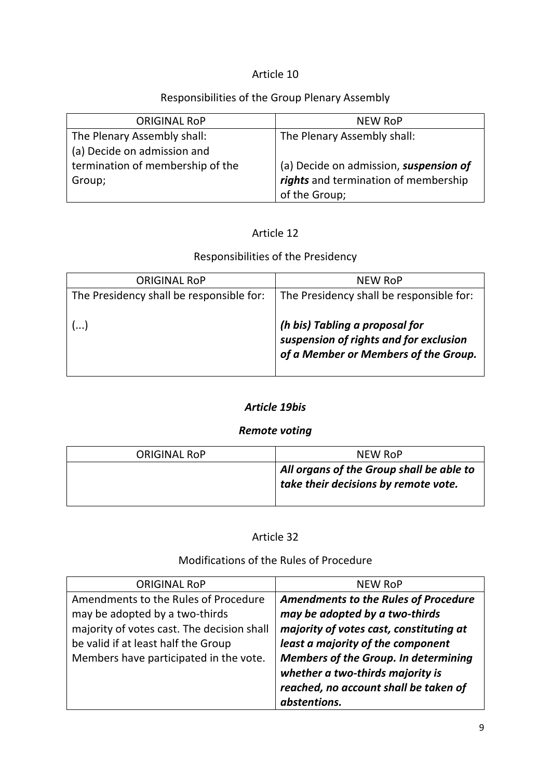#### Responsibilities of the Group Plenary Assembly

| <b>ORIGINAL ROP</b>              | <b>NEW RoP</b>                         |
|----------------------------------|----------------------------------------|
| The Plenary Assembly shall:      | The Plenary Assembly shall:            |
| (a) Decide on admission and      |                                        |
| termination of membership of the | (a) Decide on admission, suspension of |
| Group;                           | rights and termination of membership   |
|                                  | of the Group;                          |

#### Article 12

# Responsibilities of the Presidency

| <b>ORIGINAL ROP</b>                      | NEW RoP                                                                  |
|------------------------------------------|--------------------------------------------------------------------------|
| The Presidency shall be responsible for: | The Presidency shall be responsible for:                                 |
|                                          |                                                                          |
|                                          | (h bis) Tabling a proposal for<br>suspension of rights and for exclusion |
|                                          | of a Member or Members of the Group.                                     |
|                                          |                                                                          |

#### *Article 19bis*

#### *Remote voting*

| ORIGINAL ROP | NEW RoP                                                                                      |
|--------------|----------------------------------------------------------------------------------------------|
|              | $\mathsf I$ All organs of the Group shall be able to<br>take their decisions by remote vote. |

#### Article 32

#### Modifications of the Rules of Procedure

| <b>ORIGINAL ROP</b>                        | NEW RoP                                     |
|--------------------------------------------|---------------------------------------------|
| Amendments to the Rules of Procedure       | <b>Amendments to the Rules of Procedure</b> |
| may be adopted by a two-thirds             | may be adopted by a two-thirds              |
| majority of votes cast. The decision shall | majority of votes cast, constituting at     |
| be valid if at least half the Group        | least a majority of the component           |
| Members have participated in the vote.     | <b>Members of the Group. In determining</b> |
|                                            | whether a two-thirds majority is            |
|                                            | reached, no account shall be taken of       |
|                                            | abstentions.                                |